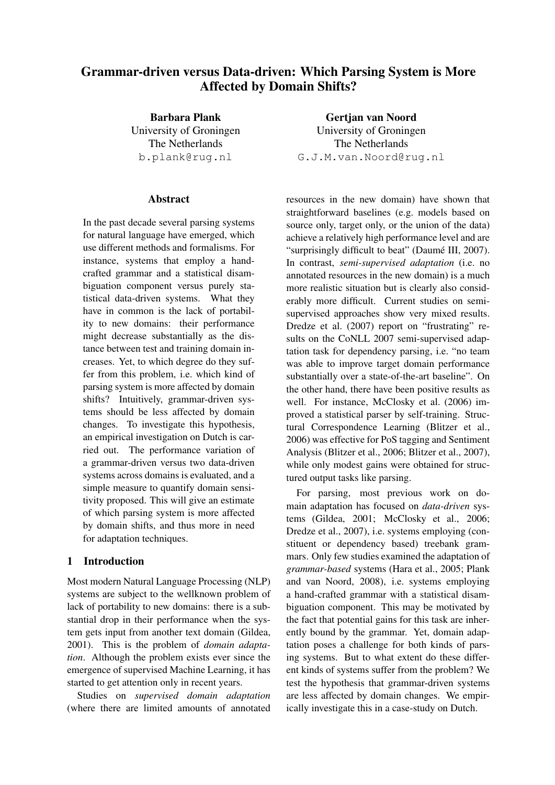# Grammar-driven versus Data-driven: Which Parsing System is More Affected by Domain Shifts?

Barbara Plank University of Groningen The Netherlands b.plank@rug.nl

## Abstract

In the past decade several parsing systems for natural language have emerged, which use different methods and formalisms. For instance, systems that employ a handcrafted grammar and a statistical disambiguation component versus purely statistical data-driven systems. What they have in common is the lack of portability to new domains: their performance might decrease substantially as the distance between test and training domain increases. Yet, to which degree do they suffer from this problem, i.e. which kind of parsing system is more affected by domain shifts? Intuitively, grammar-driven systems should be less affected by domain changes. To investigate this hypothesis, an empirical investigation on Dutch is carried out. The performance variation of a grammar-driven versus two data-driven systems across domains is evaluated, and a simple measure to quantify domain sensitivity proposed. This will give an estimate of which parsing system is more affected by domain shifts, and thus more in need for adaptation techniques.

# 1 Introduction

Most modern Natural Language Processing (NLP) systems are subject to the wellknown problem of lack of portability to new domains: there is a substantial drop in their performance when the system gets input from another text domain (Gildea, 2001). This is the problem of *domain adaptation*. Although the problem exists ever since the emergence of supervised Machine Learning, it has started to get attention only in recent years.

Studies on *supervised domain adaptation* (where there are limited amounts of annotated

Gertjan van Noord University of Groningen The Netherlands G.J.M.van.Noord@rug.nl

resources in the new domain) have shown that straightforward baselines (e.g. models based on source only, target only, or the union of the data) achieve a relatively high performance level and are "surprisingly difficult to beat" (Daumé III, 2007). In contrast, *semi-supervised adaptation* (i.e. no annotated resources in the new domain) is a much more realistic situation but is clearly also considerably more difficult. Current studies on semisupervised approaches show very mixed results. Dredze et al. (2007) report on "frustrating" results on the CoNLL 2007 semi-supervised adaptation task for dependency parsing, i.e. "no team was able to improve target domain performance substantially over a state-of-the-art baseline". On the other hand, there have been positive results as well. For instance, McClosky et al. (2006) improved a statistical parser by self-training. Structural Correspondence Learning (Blitzer et al., 2006) was effective for PoS tagging and Sentiment Analysis (Blitzer et al., 2006; Blitzer et al., 2007), while only modest gains were obtained for structured output tasks like parsing.

For parsing, most previous work on domain adaptation has focused on *data-driven* systems (Gildea, 2001; McClosky et al., 2006; Dredze et al., 2007), i.e. systems employing (constituent or dependency based) treebank grammars. Only few studies examined the adaptation of *grammar-based* systems (Hara et al., 2005; Plank and van Noord, 2008), i.e. systems employing a hand-crafted grammar with a statistical disambiguation component. This may be motivated by the fact that potential gains for this task are inherently bound by the grammar. Yet, domain adaptation poses a challenge for both kinds of parsing systems. But to what extent do these different kinds of systems suffer from the problem? We test the hypothesis that grammar-driven systems are less affected by domain changes. We empirically investigate this in a case-study on Dutch.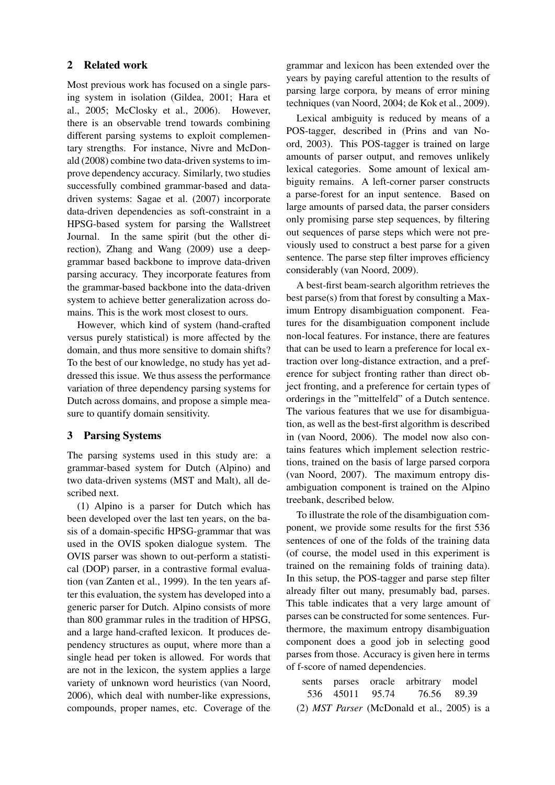## 2 Related work

Most previous work has focused on a single parsing system in isolation (Gildea, 2001; Hara et al., 2005; McClosky et al., 2006). However, there is an observable trend towards combining different parsing systems to exploit complementary strengths. For instance, Nivre and McDonald (2008) combine two data-driven systems to improve dependency accuracy. Similarly, two studies successfully combined grammar-based and datadriven systems: Sagae et al. (2007) incorporate data-driven dependencies as soft-constraint in a HPSG-based system for parsing the Wallstreet Journal. In the same spirit (but the other direction), Zhang and Wang (2009) use a deepgrammar based backbone to improve data-driven parsing accuracy. They incorporate features from the grammar-based backbone into the data-driven system to achieve better generalization across domains. This is the work most closest to ours.

However, which kind of system (hand-crafted versus purely statistical) is more affected by the domain, and thus more sensitive to domain shifts? To the best of our knowledge, no study has yet addressed this issue. We thus assess the performance variation of three dependency parsing systems for Dutch across domains, and propose a simple measure to quantify domain sensitivity.

## 3 Parsing Systems

The parsing systems used in this study are: a grammar-based system for Dutch (Alpino) and two data-driven systems (MST and Malt), all described next.

(1) Alpino is a parser for Dutch which has been developed over the last ten years, on the basis of a domain-specific HPSG-grammar that was used in the OVIS spoken dialogue system. The OVIS parser was shown to out-perform a statistical (DOP) parser, in a contrastive formal evaluation (van Zanten et al., 1999). In the ten years after this evaluation, the system has developed into a generic parser for Dutch. Alpino consists of more than 800 grammar rules in the tradition of HPSG, and a large hand-crafted lexicon. It produces dependency structures as ouput, where more than a single head per token is allowed. For words that are not in the lexicon, the system applies a large variety of unknown word heuristics (van Noord, 2006), which deal with number-like expressions, compounds, proper names, etc. Coverage of the grammar and lexicon has been extended over the years by paying careful attention to the results of parsing large corpora, by means of error mining techniques (van Noord, 2004; de Kok et al., 2009).

Lexical ambiguity is reduced by means of a POS-tagger, described in (Prins and van Noord, 2003). This POS-tagger is trained on large amounts of parser output, and removes unlikely lexical categories. Some amount of lexical ambiguity remains. A left-corner parser constructs a parse-forest for an input sentence. Based on large amounts of parsed data, the parser considers only promising parse step sequences, by filtering out sequences of parse steps which were not previously used to construct a best parse for a given sentence. The parse step filter improves efficiency considerably (van Noord, 2009).

A best-first beam-search algorithm retrieves the best parse(s) from that forest by consulting a Maximum Entropy disambiguation component. Features for the disambiguation component include non-local features. For instance, there are features that can be used to learn a preference for local extraction over long-distance extraction, and a preference for subject fronting rather than direct object fronting, and a preference for certain types of orderings in the "mittelfeld" of a Dutch sentence. The various features that we use for disambiguation, as well as the best-first algorithm is described in (van Noord, 2006). The model now also contains features which implement selection restrictions, trained on the basis of large parsed corpora (van Noord, 2007). The maximum entropy disambiguation component is trained on the Alpino treebank, described below.

To illustrate the role of the disambiguation component, we provide some results for the first 536 sentences of one of the folds of the training data (of course, the model used in this experiment is trained on the remaining folds of training data). In this setup, the POS-tagger and parse step filter already filter out many, presumably bad, parses. This table indicates that a very large amount of parses can be constructed for some sentences. Furthermore, the maximum entropy disambiguation component does a good job in selecting good parses from those. Accuracy is given here in terms of f-score of named dependencies.

sents parses oracle arbitrary model 536 45011 95.74 76.56 89.39 (2) *MST Parser* (McDonald et al., 2005) is a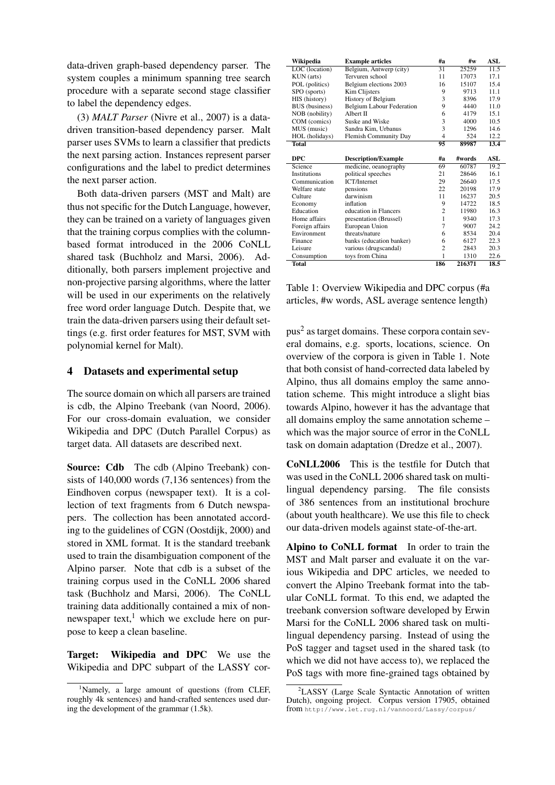data-driven graph-based dependency parser. The system couples a minimum spanning tree search procedure with a separate second stage classifier to label the dependency edges.

(3) *MALT Parser* (Nivre et al., 2007) is a datadriven transition-based dependency parser. Malt parser uses SVMs to learn a classifier that predicts the next parsing action. Instances represent parser configurations and the label to predict determines the next parser action.

Both data-driven parsers (MST and Malt) are thus not specific for the Dutch Language, however, they can be trained on a variety of languages given that the training corpus complies with the columnbased format introduced in the 2006 CoNLL shared task (Buchholz and Marsi, 2006). Additionally, both parsers implement projective and non-projective parsing algorithms, where the latter will be used in our experiments on the relatively free word order language Dutch. Despite that, we train the data-driven parsers using their default settings (e.g. first order features for MST, SVM with polynomial kernel for Malt).

#### 4 Datasets and experimental setup

The source domain on which all parsers are trained is cdb, the Alpino Treebank (van Noord, 2006). For our cross-domain evaluation, we consider Wikipedia and DPC (Dutch Parallel Corpus) as target data. All datasets are described next.

Source: Cdb The cdb (Alpino Treebank) consists of 140,000 words (7,136 sentences) from the Eindhoven corpus (newspaper text). It is a collection of text fragments from 6 Dutch newspapers. The collection has been annotated according to the guidelines of CGN (Oostdijk, 2000) and stored in XML format. It is the standard treebank used to train the disambiguation component of the Alpino parser. Note that cdb is a subset of the training corpus used in the CoNLL 2006 shared task (Buchholz and Marsi, 2006). The CoNLL training data additionally contained a mix of nonnewspaper text, $<sup>1</sup>$  which we exclude here on pur-</sup> pose to keep a clean baseline.

Target: Wikipedia and DPC We use the Wikipedia and DPC subpart of the LASSY cor-

| Wikipedia             | <b>Example articles</b>          | #a             | #w     | ASL  |
|-----------------------|----------------------------------|----------------|--------|------|
| LOC (location)        | Belgium, Antwerp (city)          | 31             | 25259  | 11.5 |
| KUN (arts)            | Tervuren school                  | 11             | 17073  | 17.1 |
| POL (politics)        | Belgium elections 2003           | 16             | 15107  | 15.4 |
| SPO (sports)          | Kim Clijsters                    | 9              | 9713   | 11.1 |
| HIS (history)         | History of Belgium               | 3              | 8396   | 17.9 |
| <b>BUS</b> (business) | <b>Belgium Labour Federation</b> | 9              | 4440   | 11.0 |
| NOB (nobility)        | Albert II                        | 6              | 4179   | 15.1 |
| COM (comics)          | Suske and Wiske                  | 3              | 4000   | 10.5 |
| MUS (music)           | Sandra Kim, Urbanus              | 3              | 1296   | 14.6 |
| HOL (holidays)        | <b>Flemish Community Day</b>     | $\overline{4}$ | 524    | 12.2 |
| <b>Total</b>          |                                  | 95             | 89987  | 13.4 |
|                       |                                  |                |        |      |
| <b>DPC</b>            | <b>Description/Example</b>       | #a             | #words | ASL  |
| Science               | medicine, oeanography            | 69             | 60787  | 19.2 |
| <b>Institutions</b>   | political speeches               | 21             | 28646  | 16.1 |
| Communication         | <b>ICT/Internet</b>              | 29             | 26640  | 17.5 |
| Welfare state         | pensions                         | 22             | 20198  | 17.9 |
| Culture               | darwinism                        | 11             | 16237  | 20.5 |
| Economy               | inflation                        | 9              | 14722  | 18.5 |
| Education             | education in Flancers            | $\overline{2}$ | 11980  | 16.3 |
| Home affairs          | presentation (Brussel)           | 1              | 9340   | 17.3 |
| Foreign affairs       | European Union                   | 7              | 9007   | 24.2 |
| Environment           | threats/nature                   | 6              | 8534   | 20.4 |
| Finance               | banks (education banker)         | 6              | 6127   | 22.3 |
| Leisure               | various (drugscandal)            | $\overline{2}$ | 2843   | 20.3 |
| Consumption           | toys from China                  | 1              | 1310   | 22.6 |
| <b>Total</b>          |                                  | 186            | 216371 | 18.5 |

Table 1: Overview Wikipedia and DPC corpus (#a articles, #w words, ASL average sentence length)

pus<sup>2</sup> as target domains. These corpora contain several domains, e.g. sports, locations, science. On overview of the corpora is given in Table 1. Note that both consist of hand-corrected data labeled by Alpino, thus all domains employ the same annotation scheme. This might introduce a slight bias towards Alpino, however it has the advantage that all domains employ the same annotation scheme – which was the major source of error in the CoNLL task on domain adaptation (Dredze et al., 2007).

CoNLL2006 This is the testfile for Dutch that was used in the CoNLL 2006 shared task on multilingual dependency parsing. The file consists of 386 sentences from an institutional brochure (about youth healthcare). We use this file to check our data-driven models against state-of-the-art.

Alpino to CoNLL format In order to train the MST and Malt parser and evaluate it on the various Wikipedia and DPC articles, we needed to convert the Alpino Treebank format into the tabular CoNLL format. To this end, we adapted the treebank conversion software developed by Erwin Marsi for the CoNLL 2006 shared task on multilingual dependency parsing. Instead of using the PoS tagger and tagset used in the shared task (to which we did not have access to), we replaced the PoS tags with more fine-grained tags obtained by

<sup>&</sup>lt;sup>1</sup>Namely, a large amount of questions (from CLEF, roughly 4k sentences) and hand-crafted sentences used during the development of the grammar (1.5k).

<sup>&</sup>lt;sup>2</sup>LASSY (Large Scale Syntactic Annotation of written Dutch), ongoing project. Corpus version 17905, obtained from http://www.let.rug.nl/vannoord/Lassy/corpus/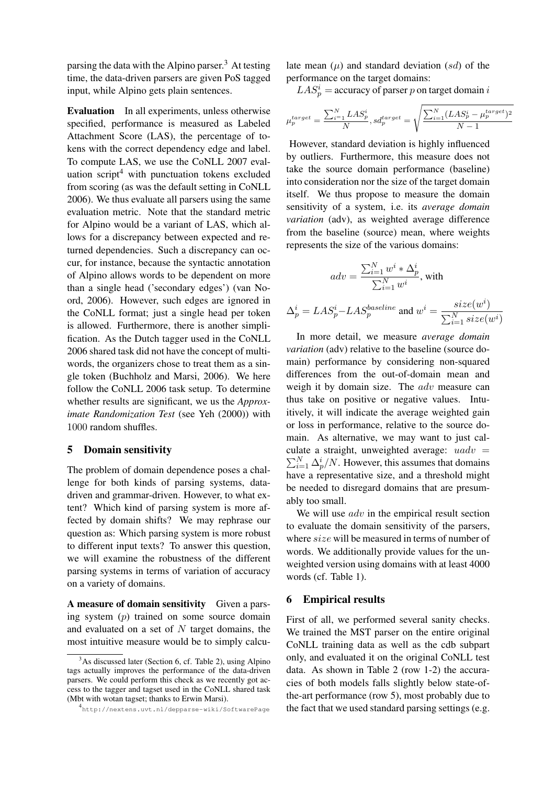parsing the data with the Alpino parser.<sup>3</sup> At testing time, the data-driven parsers are given PoS tagged input, while Alpino gets plain sentences.

Evaluation In all experiments, unless otherwise specified, performance is measured as Labeled Attachment Score (LAS), the percentage of tokens with the correct dependency edge and label. To compute LAS, we use the CoNLL 2007 evaluation script $4$  with punctuation tokens excluded from scoring (as was the default setting in CoNLL 2006). We thus evaluate all parsers using the same evaluation metric. Note that the standard metric for Alpino would be a variant of LAS, which allows for a discrepancy between expected and returned dependencies. Such a discrepancy can occur, for instance, because the syntactic annotation of Alpino allows words to be dependent on more than a single head ('secondary edges') (van Noord, 2006). However, such edges are ignored in the CoNLL format; just a single head per token is allowed. Furthermore, there is another simplification. As the Dutch tagger used in the CoNLL 2006 shared task did not have the concept of multiwords, the organizers chose to treat them as a single token (Buchholz and Marsi, 2006). We here follow the CoNLL 2006 task setup. To determine whether results are significant, we us the *Approximate Randomization Test* (see Yeh (2000)) with 1000 random shuffles.

#### 5 Domain sensitivity

The problem of domain dependence poses a challenge for both kinds of parsing systems, datadriven and grammar-driven. However, to what extent? Which kind of parsing system is more affected by domain shifts? We may rephrase our question as: Which parsing system is more robust to different input texts? To answer this question, we will examine the robustness of the different parsing systems in terms of variation of accuracy on a variety of domains.

A measure of domain sensitivity Given a parsing system (p) trained on some source domain and evaluated on a set of  $N$  target domains, the most intuitive measure would be to simply calcu-

late mean  $(\mu)$  and standard deviation  $(sd)$  of the performance on the target domains:

 $LAS_p^i$  = accuracy of parser p on target domain i

$$
\mu_p^{target} = \frac{\sum_{i=1}^{N} LAS_p^i}{N}, sd_p^{target} = \sqrt{\frac{\sum_{i=1}^{N} (LAS_p^i - \mu_p^{target})^2}{N-1}}
$$

However, standard deviation is highly influenced by outliers. Furthermore, this measure does not take the source domain performance (baseline) into consideration nor the size of the target domain itself. We thus propose to measure the domain sensitivity of a system, i.e. its *average domain variation* (adv), as weighted average difference from the baseline (source) mean, where weights represents the size of the various domains:

$$
adv = \frac{\sum_{i=1}^{N} w^i * \Delta_p^i}{\sum_{i=1}^{N} w^i}, \text{ with}
$$

$$
\Delta_p^i = LAS_p^i - LAS_p^{baseline} \text{ and } w^i = \frac{size(w^i)}{\sum_{i=1}^{N} size(w^i)}
$$

In more detail, we measure *average domain variation* (adv) relative to the baseline (source domain) performance by considering non-squared differences from the out-of-domain mean and weigh it by domain size. The *adv* measure can thus take on positive or negative values. Intuitively, it will indicate the average weighted gain or loss in performance, relative to the source domain. As alternative, we may want to just calculate a straight, unweighted average:  $uadv =$  $\sum_{i=1}^{N} \Delta_p^i/N$ . However, this assumes that domains have a representative size, and a threshold might be needed to disregard domains that are presumably too small.

We will use  $adv$  in the empirical result section to evaluate the domain sensitivity of the parsers, where size will be measured in terms of number of words. We additionally provide values for the unweighted version using domains with at least 4000 words (cf. Table 1).

#### 6 Empirical results

First of all, we performed several sanity checks. We trained the MST parser on the entire original CoNLL training data as well as the cdb subpart only, and evaluated it on the original CoNLL test data. As shown in Table 2 (row 1-2) the accuracies of both models falls slightly below state-ofthe-art performance (row 5), most probably due to the fact that we used standard parsing settings (e.g.

 $3$ As discussed later (Section 6, cf. Table 2), using Alpino tags actually improves the performance of the data-driven parsers. We could perform this check as we recently got access to the tagger and tagset used in the CoNLL shared task (Mbt with wotan tagset; thanks to Erwin Marsi).

<sup>4</sup> http://nextens.uvt.nl/depparse-wiki/SoftwarePage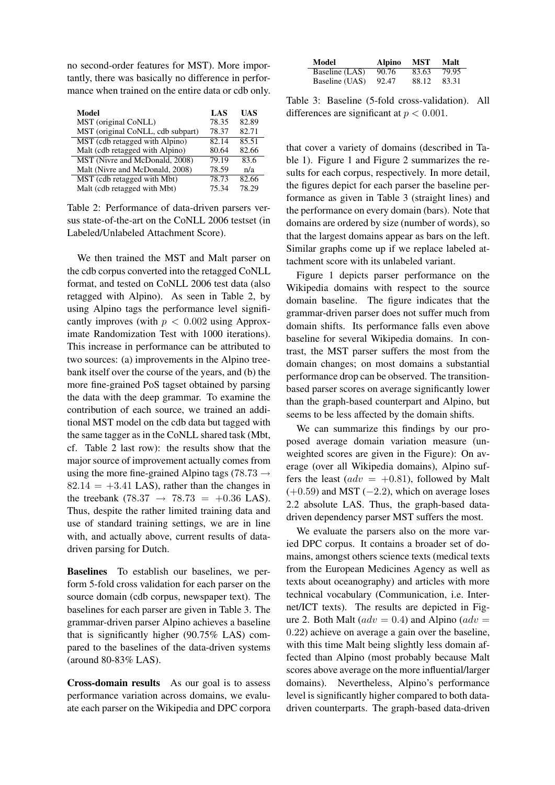no second-order features for MST). More importantly, there was basically no difference in performance when trained on the entire data or cdb only.

| Model                             | LAS   | <b>UAS</b> |
|-----------------------------------|-------|------------|
| MST (original CoNLL)              | 78.35 | 82.89      |
| MST (original CoNLL, cdb subpart) | 78.37 | 82.71      |
| MST (cdb retagged with Alpino)    | 82.14 | 85.51      |
| Malt (cdb retagged with Alpino)   | 80.64 | 82.66      |
| MST (Nivre and McDonald, 2008)    | 79.19 | 83.6       |
| Malt (Nivre and McDonald, 2008)   | 78.59 | n/a        |
| MST (cdb retagged with Mbt)       | 78.73 | 82.66      |
| Malt (cdb retagged with Mbt)      | 75.34 | 78.29      |

Table 2: Performance of data-driven parsers versus state-of-the-art on the CoNLL 2006 testset (in Labeled/Unlabeled Attachment Score).

We then trained the MST and Malt parser on the cdb corpus converted into the retagged CoNLL format, and tested on CoNLL 2006 test data (also retagged with Alpino). As seen in Table 2, by using Alpino tags the performance level significantly improves (with  $p < 0.002$  using Approximate Randomization Test with 1000 iterations). This increase in performance can be attributed to two sources: (a) improvements in the Alpino treebank itself over the course of the years, and (b) the more fine-grained PoS tagset obtained by parsing the data with the deep grammar. To examine the contribution of each source, we trained an additional MST model on the cdb data but tagged with the same tagger as in the CoNLL shared task (Mbt, cf. Table 2 last row): the results show that the major source of improvement actually comes from using the more fine-grained Alpino tags (78.73  $\rightarrow$  $82.14 = +3.41$  LAS), rather than the changes in the treebank (78.37  $\rightarrow$  78.73 = +0.36 LAS). Thus, despite the rather limited training data and use of standard training settings, we are in line with, and actually above, current results of datadriven parsing for Dutch.

Baselines To establish our baselines, we perform 5-fold cross validation for each parser on the source domain (cdb corpus, newspaper text). The baselines for each parser are given in Table 3. The grammar-driven parser Alpino achieves a baseline that is significantly higher (90.75% LAS) compared to the baselines of the data-driven systems (around 80-83% LAS).

Cross-domain results As our goal is to assess performance variation across domains, we evaluate each parser on the Wikipedia and DPC corpora

| Model          | Alpino | <b>MST</b> | Malt  |
|----------------|--------|------------|-------|
| Baseline (LAS) | 90.76  | 83.63      | 79.95 |
| Baseline (UAS) | 92.47  | 88.12      | 83.31 |

Table 3: Baseline (5-fold cross-validation). All differences are significant at  $p < 0.001$ .

that cover a variety of domains (described in Table 1). Figure 1 and Figure 2 summarizes the results for each corpus, respectively. In more detail, the figures depict for each parser the baseline performance as given in Table 3 (straight lines) and the performance on every domain (bars). Note that domains are ordered by size (number of words), so that the largest domains appear as bars on the left. Similar graphs come up if we replace labeled attachment score with its unlabeled variant.

Figure 1 depicts parser performance on the Wikipedia domains with respect to the source domain baseline. The figure indicates that the grammar-driven parser does not suffer much from domain shifts. Its performance falls even above baseline for several Wikipedia domains. In contrast, the MST parser suffers the most from the domain changes; on most domains a substantial performance drop can be observed. The transitionbased parser scores on average significantly lower than the graph-based counterpart and Alpino, but seems to be less affected by the domain shifts.

We can summarize this findings by our proposed average domain variation measure (unweighted scores are given in the Figure): On average (over all Wikipedia domains), Alpino suffers the least ( $adv = +0.81$ ), followed by Malt  $(+0.59)$  and MST  $(-2.2)$ , which on average loses 2.2 absolute LAS. Thus, the graph-based datadriven dependency parser MST suffers the most.

We evaluate the parsers also on the more varied DPC corpus. It contains a broader set of domains, amongst others science texts (medical texts from the European Medicines Agency as well as texts about oceanography) and articles with more technical vocabulary (Communication, i.e. Internet/ICT texts). The results are depicted in Figure 2. Both Malt ( $adv = 0.4$ ) and Alpino ( $adv =$ 0.22) achieve on average a gain over the baseline, with this time Malt being slightly less domain affected than Alpino (most probably because Malt scores above average on the more influential/larger domains). Nevertheless, Alpino's performance level is significantly higher compared to both datadriven counterparts. The graph-based data-driven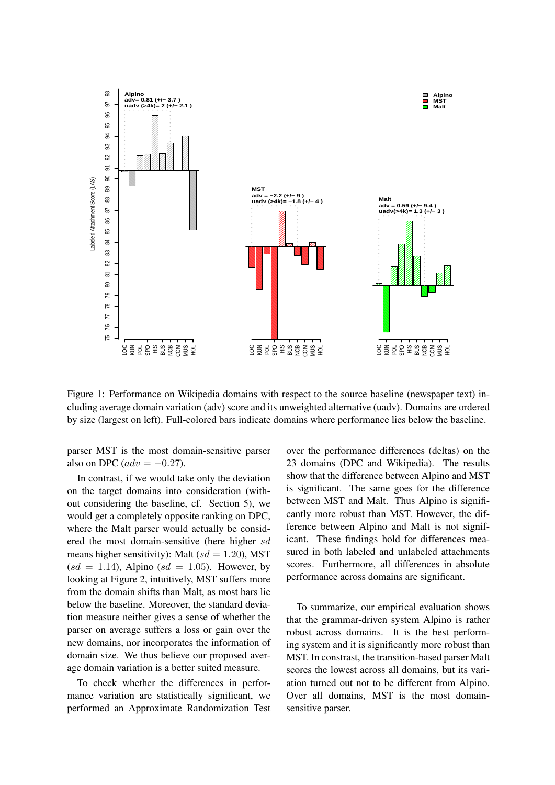

Figure 1: Performance on Wikipedia domains with respect to the source baseline (newspaper text) including average domain variation (adv) score and its unweighted alternative (uadv). Domains are ordered by size (largest on left). Full-colored bars indicate domains where performance lies below the baseline.

parser MST is the most domain-sensitive parser also on DPC ( $adv = -0.27$ ).

In contrast, if we would take only the deviation on the target domains into consideration (without considering the baseline, cf. Section 5), we would get a completely opposite ranking on DPC, where the Malt parser would actually be considered the most domain-sensitive (here higher sd means higher sensitivity): Malt  $(sd = 1.20)$ , MST  $sd = 1.14$ ), Alpino  $sd = 1.05$ ). However, by looking at Figure 2, intuitively, MST suffers more from the domain shifts than Malt, as most bars lie below the baseline. Moreover, the standard deviation measure neither gives a sense of whether the parser on average suffers a loss or gain over the new domains, nor incorporates the information of domain size. We thus believe our proposed average domain variation is a better suited measure.

To check whether the differences in performance variation are statistically significant, we performed an Approximate Randomization Test over the performance differences (deltas) on the 23 domains (DPC and Wikipedia). The results show that the difference between Alpino and MST is significant. The same goes for the difference between MST and Malt. Thus Alpino is significantly more robust than MST. However, the difference between Alpino and Malt is not significant. These findings hold for differences measured in both labeled and unlabeled attachments scores. Furthermore, all differences in absolute performance across domains are significant.

To summarize, our empirical evaluation shows that the grammar-driven system Alpino is rather robust across domains. It is the best performing system and it is significantly more robust than MST. In constrast, the transition-based parser Malt scores the lowest across all domains, but its variation turned out not to be different from Alpino. Over all domains, MST is the most domainsensitive parser.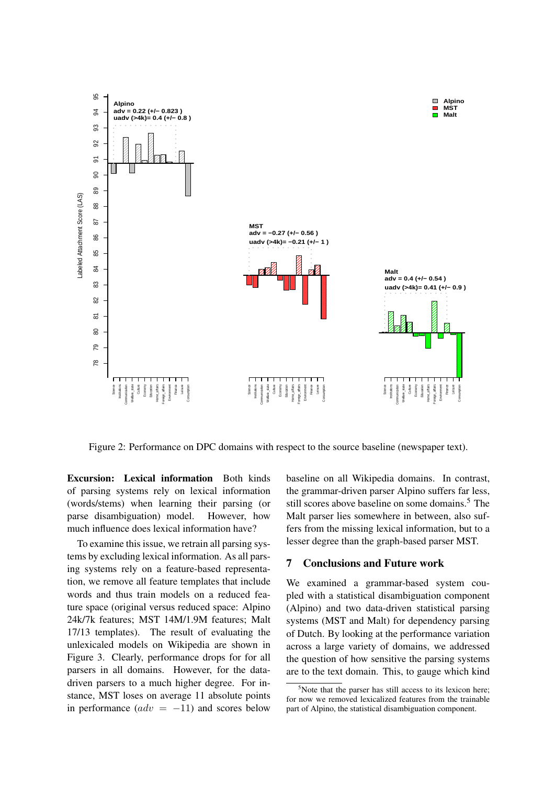

Figure 2: Performance on DPC domains with respect to the source baseline (newspaper text).

Excursion: Lexical information Both kinds of parsing systems rely on lexical information (words/stems) when learning their parsing (or parse disambiguation) model. However, how much influence does lexical information have?

To examine this issue, we retrain all parsing systems by excluding lexical information. As all parsing systems rely on a feature-based representation, we remove all feature templates that include words and thus train models on a reduced feature space (original versus reduced space: Alpino 24k/7k features; MST 14M/1.9M features; Malt 17/13 templates). The result of evaluating the unlexicaled models on Wikipedia are shown in Figure 3. Clearly, performance drops for for all parsers in all domains. However, for the datadriven parsers to a much higher degree. For instance, MST loses on average 11 absolute points in performance  $(adv = -11)$  and scores below

baseline on all Wikipedia domains. In contrast, the grammar-driven parser Alpino suffers far less, still scores above baseline on some domains.<sup>5</sup> The Malt parser lies somewhere in between, also suffers from the missing lexical information, but to a lesser degree than the graph-based parser MST.

# 7 Conclusions and Future work

We examined a grammar-based system coupled with a statistical disambiguation component (Alpino) and two data-driven statistical parsing systems (MST and Malt) for dependency parsing of Dutch. By looking at the performance variation across a large variety of domains, we addressed the question of how sensitive the parsing systems are to the text domain. This, to gauge which kind

 $5$ Note that the parser has still access to its lexicon here; for now we removed lexicalized features from the trainable part of Alpino, the statistical disambiguation component.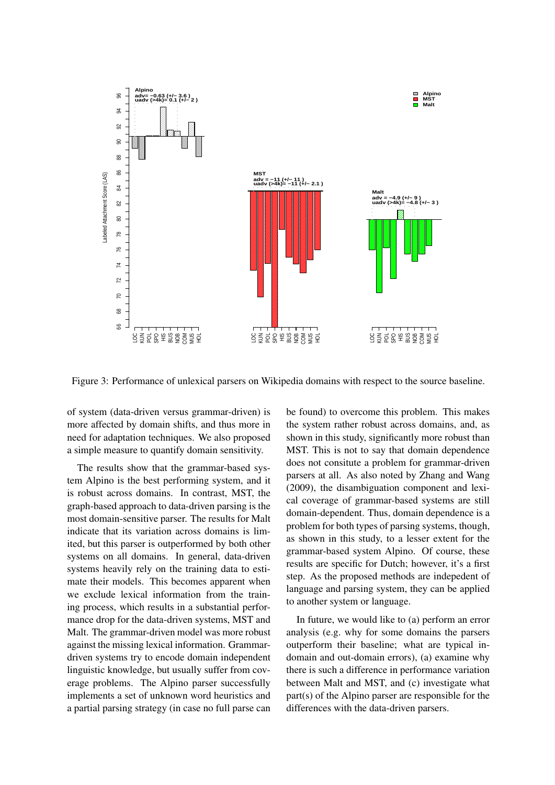

Figure 3: Performance of unlexical parsers on Wikipedia domains with respect to the source baseline.

of system (data-driven versus grammar-driven) is more affected by domain shifts, and thus more in need for adaptation techniques. We also proposed a simple measure to quantify domain sensitivity.

The results show that the grammar-based system Alpino is the best performing system, and it is robust across domains. In contrast, MST, the graph-based approach to data-driven parsing is the most domain-sensitive parser. The results for Malt indicate that its variation across domains is limited, but this parser is outperformed by both other systems on all domains. In general, data-driven systems heavily rely on the training data to estimate their models. This becomes apparent when we exclude lexical information from the training process, which results in a substantial performance drop for the data-driven systems, MST and Malt. The grammar-driven model was more robust against the missing lexical information. Grammardriven systems try to encode domain independent linguistic knowledge, but usually suffer from coverage problems. The Alpino parser successfully implements a set of unknown word heuristics and a partial parsing strategy (in case no full parse can be found) to overcome this problem. This makes the system rather robust across domains, and, as shown in this study, significantly more robust than MST. This is not to say that domain dependence does not consitute a problem for grammar-driven parsers at all. As also noted by Zhang and Wang (2009), the disambiguation component and lexical coverage of grammar-based systems are still domain-dependent. Thus, domain dependence is a problem for both types of parsing systems, though, as shown in this study, to a lesser extent for the grammar-based system Alpino. Of course, these results are specific for Dutch; however, it's a first step. As the proposed methods are indepedent of language and parsing system, they can be applied to another system or language.

In future, we would like to (a) perform an error analysis (e.g. why for some domains the parsers outperform their baseline; what are typical indomain and out-domain errors), (a) examine why there is such a difference in performance variation between Malt and MST, and (c) investigate what part(s) of the Alpino parser are responsible for the differences with the data-driven parsers.